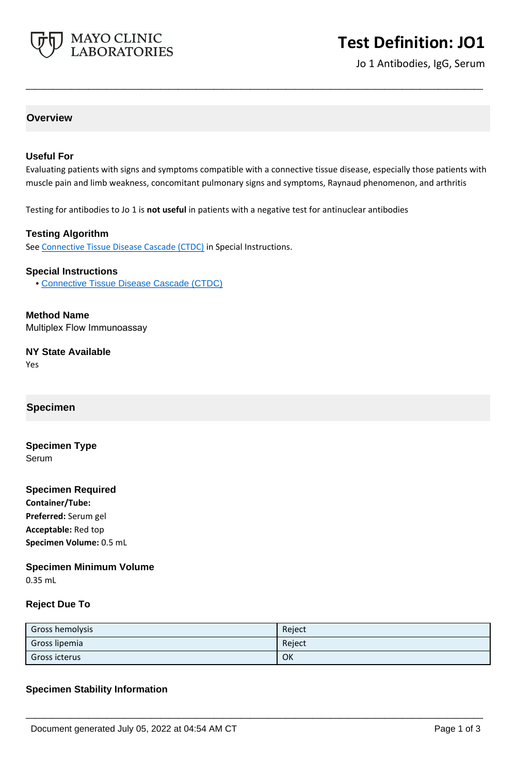

# **Test Definition: JO1**

Jo 1 Antibodies, IgG, Serum

# **Overview**

### **Useful For**

Evaluating patients with signs and symptoms compatible with a connective tissue disease, especially those patients with muscle pain and limb weakness, concomitant pulmonary signs and symptoms, Raynaud phenomenon, and arthritis

**\_\_\_\_\_\_\_\_\_\_\_\_\_\_\_\_\_\_\_\_\_\_\_\_\_\_\_\_\_\_\_\_\_\_\_\_\_\_\_\_\_\_\_\_\_\_\_\_\_\_\_**

Testing for antibodies to Jo 1 is **not useful** in patients with a negative test for antinuclear antibodies

### **Testing Algorithm**

See [Connective Tissue Disease Cascade \(CTDC\)](https://www.mayocliniclabs.com/it-mmfiles/Connective_Tissue_Disease_Cascade__CTDC_.pdf) in Special Instructions.

#### **Special Instructions**

• [Connective Tissue Disease Cascade \(CTDC\)](http://www.mayocliniclabs.com/it-mmfiles/Connective_Tissue_Disease_Cascade__CTDC_.pdf)

**Method Name** Multiplex Flow Immunoassay

**NY State Available** Yes

# **Specimen**

**Specimen Type** Serum

#### **Specimen Required**

**Container/Tube: Preferred:** Serum gel **Acceptable:** Red top **Specimen Volume:** 0.5 mL

## **Specimen Minimum Volume**

0.35 mL

#### **Reject Due To**

| Gross hemolysis | Reject |
|-----------------|--------|
| Gross lipemia   | Reject |
| Gross icterus   | OK     |

**\_\_\_\_\_\_\_\_\_\_\_\_\_\_\_\_\_\_\_\_\_\_\_\_\_\_\_\_\_\_\_\_\_\_\_\_\_\_\_\_\_\_\_\_\_\_\_\_\_\_\_**

#### **Specimen Stability Information**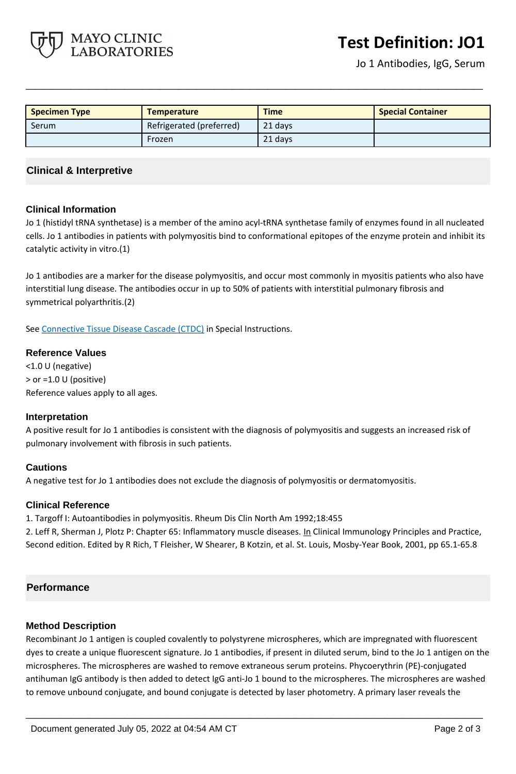

| <b>Specimen Type</b> | <b>Temperature</b>       | <b>Time</b> | <b>Special Container</b> |
|----------------------|--------------------------|-------------|--------------------------|
| Serum                | Refrigerated (preferred) | 21 days     |                          |
|                      | Frozen                   | 21 days     |                          |

**\_\_\_\_\_\_\_\_\_\_\_\_\_\_\_\_\_\_\_\_\_\_\_\_\_\_\_\_\_\_\_\_\_\_\_\_\_\_\_\_\_\_\_\_\_\_\_\_\_\_\_**

## **Clinical & Interpretive**

MAYO CLINIC **LABORATORIES** 

#### **Clinical Information**

Jo 1 (histidyl tRNA synthetase) is a member of the amino acyl-tRNA synthetase family of enzymes found in all nucleated cells. Jo 1 antibodies in patients with polymyositis bind to conformational epitopes of the enzyme protein and inhibit its catalytic activity in vitro.(1)

Jo 1 antibodies are a marker for the disease polymyositis, and occur most commonly in myositis patients who also have interstitial lung disease. The antibodies occur in up to 50% of patients with interstitial pulmonary fibrosis and symmetrical polyarthritis.(2)

See [Connective Tissue Disease Cascade \(CTDC\)](https://www.mayocliniclabs.com/it-mmfiles/Connective_Tissue_Disease_Cascade__CTDC_.pdf) in Special Instructions.

#### **Reference Values**

<1.0 U (negative) > or =1.0 U (positive) Reference values apply to all ages.

#### **Interpretation**

A positive result for Jo 1 antibodies is consistent with the diagnosis of polymyositis and suggests an increased risk of pulmonary involvement with fibrosis in such patients.

#### **Cautions**

A negative test for Jo 1 antibodies does not exclude the diagnosis of polymyositis or dermatomyositis.

#### **Clinical Reference**

1. Targoff I: Autoantibodies in polymyositis. Rheum Dis Clin North Am 1992;18:455

2. Leff R, Sherman J, Plotz P: Chapter 65: Inflammatory muscle diseases. In Clinical Immunology Principles and Practice, Second edition. Edited by R Rich, T Fleisher, W Shearer, B Kotzin, et al. St. Louis, Mosby-Year Book, 2001, pp 65.1-65.8

#### **Performance**

#### **Method Description**

Recombinant Jo 1 antigen is coupled covalently to polystyrene microspheres, which are impregnated with fluorescent dyes to create a unique fluorescent signature. Jo 1 antibodies, if present in diluted serum, bind to the Jo 1 antigen on the microspheres. The microspheres are washed to remove extraneous serum proteins. Phycoerythrin (PE)-conjugated antihuman IgG antibody is then added to detect IgG anti-Jo 1 bound to the microspheres. The microspheres are washed to remove unbound conjugate, and bound conjugate is detected by laser photometry. A primary laser reveals the

**\_\_\_\_\_\_\_\_\_\_\_\_\_\_\_\_\_\_\_\_\_\_\_\_\_\_\_\_\_\_\_\_\_\_\_\_\_\_\_\_\_\_\_\_\_\_\_\_\_\_\_**